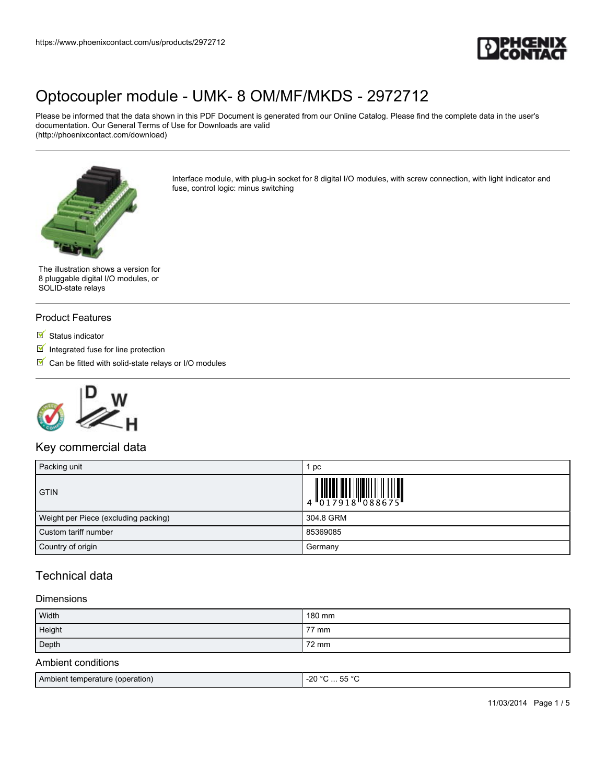

Please be informed that the data shown in this PDF Document is generated from our Online Catalog. Please find the complete data in the user's documentation. Our General Terms of Use for Downloads are valid (http://phoenixcontact.com/download)



Interface module, with plug-in socket for 8 digital I/O modules, with screw connection, with light indicator and fuse, control logic: minus switching

The illustration shows a version for 8 pluggable digital I/O modules, or SOLID-state relays

### Product Features

- $\blacksquare$  Status indicator
- $\blacksquare$  Integrated fuse for line protection
- $\blacksquare$  Can be fitted with solid-state relays or I/O modules



## Key commercial data

| Packing unit                         | рc                                                                                                                                                                                                                                                                                                                                                                                                                                                                                                                            |
|--------------------------------------|-------------------------------------------------------------------------------------------------------------------------------------------------------------------------------------------------------------------------------------------------------------------------------------------------------------------------------------------------------------------------------------------------------------------------------------------------------------------------------------------------------------------------------|
| <b>GTIN</b>                          | $\left \begin{array}{c} 1 \\ 0 \\ 1 \end{array}\right. \left \left[\begin{array}{c} 0 \\ 0 \\ 1 \end{array}\right] \left \left[\begin{array}{c} 0 \\ 0 \\ 1 \end{array}\right] \left \left[\begin{array}{c} 0 \\ 0 \\ 0 \end{array}\right] \left \left[\begin{array}{c} 0 \\ 0 \\ 0 \end{array}\right] \left \left[\begin{array}{c} 0 \\ 0 \\ 0 \end{array}\right] \left \left[\begin{array}{c} 0 \\ 0 \\ 0 \end{array}\right] \left \left[\begin{array}{c} 0 \\ 0 \\ 0 \end{array}\right] \left \left[\begin{array}{c} 0 \\$ |
| Weight per Piece (excluding packing) | 304.8 GRM                                                                                                                                                                                                                                                                                                                                                                                                                                                                                                                     |
| Custom tariff number                 | 85369085                                                                                                                                                                                                                                                                                                                                                                                                                                                                                                                      |
| Country of origin                    | Germany                                                                                                                                                                                                                                                                                                                                                                                                                                                                                                                       |

## Technical data

#### **Dimensions**

| Width              | 180 mm |
|--------------------|--------|
| Height             | 77 mm  |
| Depth              | 72 mm  |
| Ambient conditions |        |

| <b>Ambient temperature</b><br>(operation) | $- - 0$<br>$\sim$<br>$-20$<br>--<br>. |
|-------------------------------------------|---------------------------------------|
|                                           |                                       |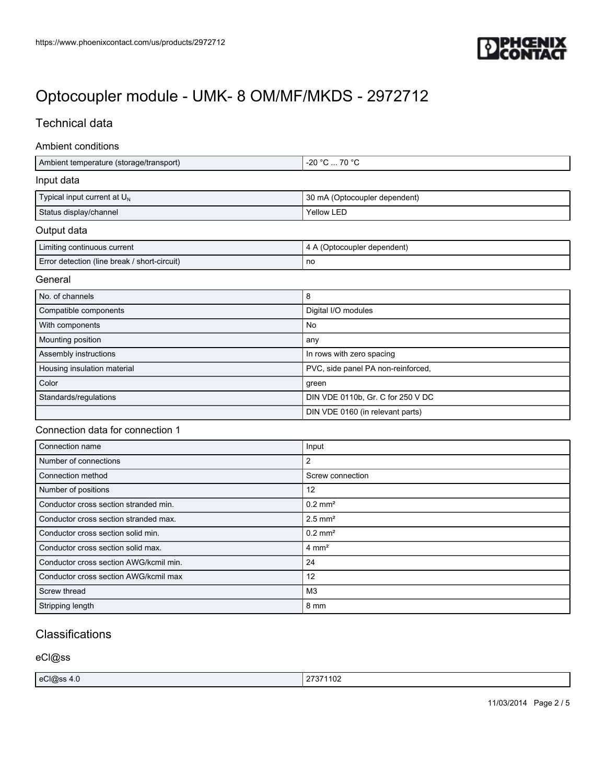

## Technical data

#### Ambient conditions

| Ambient temperature (storage/transport) | 1 -20 °C … 70 °C .            |
|-----------------------------------------|-------------------------------|
| Input data                              |                               |
| Typical input current at $U_N$          | 30 mA (Optocoupler dependent) |
| Status display/channel                  | <b>Yellow LED</b>             |
| $0.441$ $1.11$                          |                               |

#### Output data

| Limiting continuous current                  | \ (Optocoupler dependent) |
|----------------------------------------------|---------------------------|
| Error detection (line break / short-circuit) | no                        |

### General

| No. of channels             | 8                                  |
|-----------------------------|------------------------------------|
| Compatible components       | Digital I/O modules                |
| With components             | No                                 |
| Mounting position           | any                                |
| Assembly instructions       | In rows with zero spacing          |
| Housing insulation material | PVC, side panel PA non-reinforced, |
| Color                       | green                              |
| Standards/regulations       | DIN VDE 0110b, Gr. C for 250 V DC  |
|                             | DIN VDE 0160 (in relevant parts)   |

### Connection data for connection 1

| Connection name                        | Input                 |
|----------------------------------------|-----------------------|
| Number of connections                  | 2                     |
| Connection method                      | Screw connection      |
| Number of positions                    | 12                    |
| Conductor cross section stranded min.  | $0.2$ mm <sup>2</sup> |
| Conductor cross section stranded max.  | $2.5$ mm <sup>2</sup> |
| Conductor cross section solid min.     | $0.2$ mm <sup>2</sup> |
| Conductor cross section solid max.     | $4 \text{ mm}^2$      |
| Conductor cross section AWG/kcmil min. | 24                    |
| Conductor cross section AWG/kcmil max  | 12                    |
| Screw thread                           | M3                    |
| Stripping length                       | 8 mm                  |

# **Classifications**

eCl@ss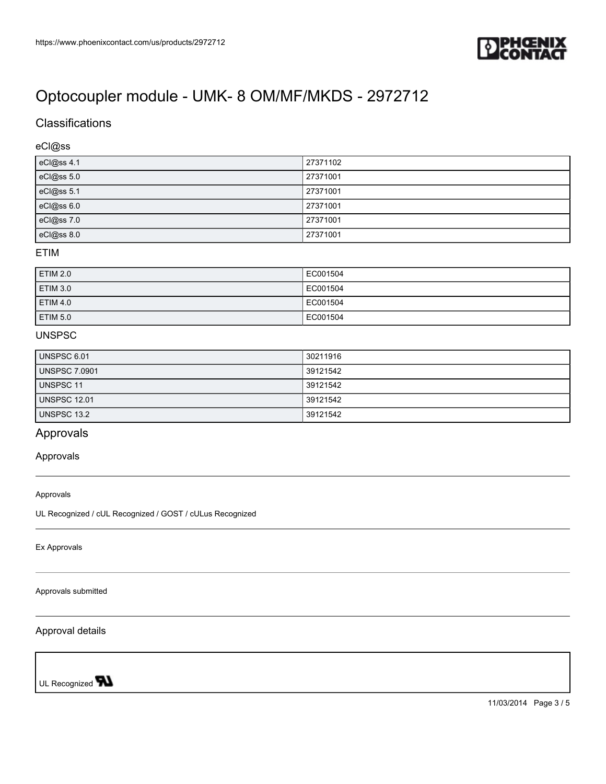

# **Classifications**

### eCl@ss

| eCl@ss 4.1 | 27371102 |
|------------|----------|
| eCl@ss 5.0 | 27371001 |
| eCl@ss 5.1 | 27371001 |
| eCl@ss 6.0 | 27371001 |
| eCl@ss 7.0 | 27371001 |
| eCl@ss 8.0 | 27371001 |

## ETIM

| ETIM 2.0 | EC001504 |
|----------|----------|
| ETIM 3.0 | EC001504 |
| ETIM 4.0 | EC001504 |
| ETIM 5.0 | EC001504 |

### UNSPSC

| UNSPSC 6.01          | 30211916 |
|----------------------|----------|
| <b>UNSPSC 7.0901</b> | 39121542 |
| <b>UNSPSC 11</b>     | 39121542 |
| <b>UNSPSC 12.01</b>  | 39121542 |
| UNSPSC 13.2          | 39121542 |

## Approvals

#### Approvals

#### Approvals

UL Recognized / cUL Recognized / GOST / cULus Recognized

Ex Approvals

Approvals submitted

#### Approval details

UL Recognized **W**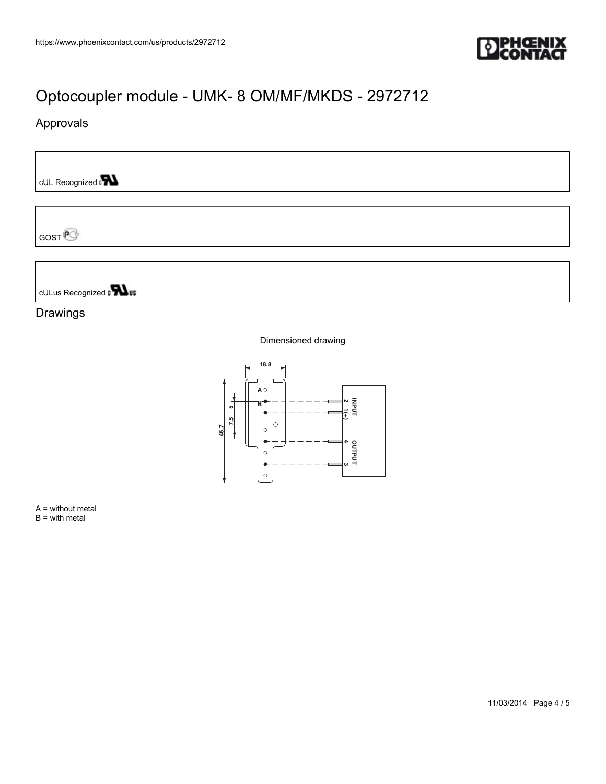

# Approvals

cUL Recognized and

GOST<sup>P</sup>

cULus Recognized to **TALus** 

## Drawings

#### Dimensioned drawing



A = without metal  $B = with metal$